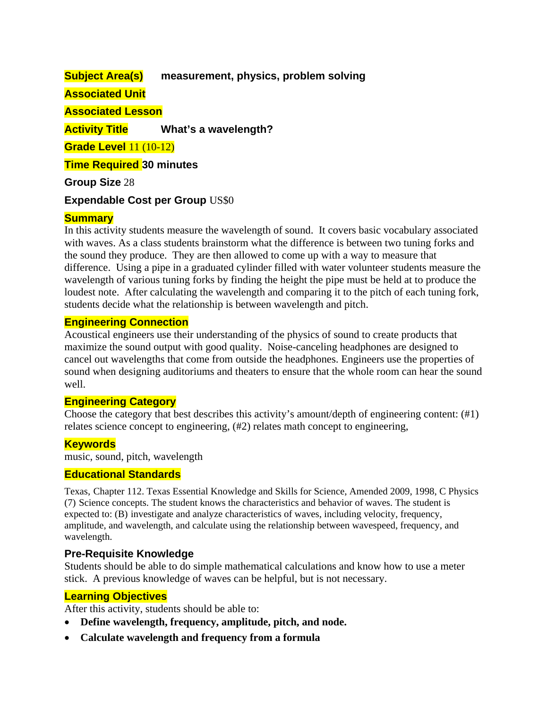## **Subject Area(s) measurement, physics, problem solving**

### **Associated Unit**

**Associated Lesson** 

**Activity Title What's a wavelength?** 

**Grade Level** 11 (10-12)

**Time Required 30 minutes**

**Group Size** 28

### **Expendable Cost per Group** US\$0

### **Summary**

In this activity students measure the wavelength of sound. It covers basic vocabulary associated with waves. As a class students brainstorm what the difference is between two tuning forks and the sound they produce. They are then allowed to come up with a way to measure that difference. Using a pipe in a graduated cylinder filled with water volunteer students measure the wavelength of various tuning forks by finding the height the pipe must be held at to produce the loudest note. After calculating the wavelength and comparing it to the pitch of each tuning fork, students decide what the relationship is between wavelength and pitch.

#### **Engineering Connection**

Acoustical engineers use their understanding of the physics of sound to create products that maximize the sound output with good quality. Noise-canceling headphones are designed to cancel out wavelengths that come from outside the headphones. Engineers use the properties of sound when designing auditoriums and theaters to ensure that the whole room can hear the sound well.

### **Engineering Category**

Choose the category that best describes this activity's amount/depth of engineering content: (#1) relates science concept to engineering, (#2) relates math concept to engineering,

### **Keywords**

music, sound, pitch, wavelength

#### **Educational Standards**

Texas, Chapter 112. Texas Essential Knowledge and Skills for Science, Amended 2009, 1998, C Physics (7) Science concepts. The student knows the characteristics and behavior of waves. The student is expected to: (B) investigate and analyze characteristics of waves, including velocity, frequency, amplitude, and wavelength, and calculate using the relationship between wavespeed, frequency, and wavelength.

### **Pre-Requisite Knowledge**

Students should be able to do simple mathematical calculations and know how to use a meter stick. A previous knowledge of waves can be helpful, but is not necessary.

### **Learning Objectives**

After this activity, students should be able to:

- **Define wavelength, frequency, amplitude, pitch, and node.**
- **Calculate wavelength and frequency from a formula**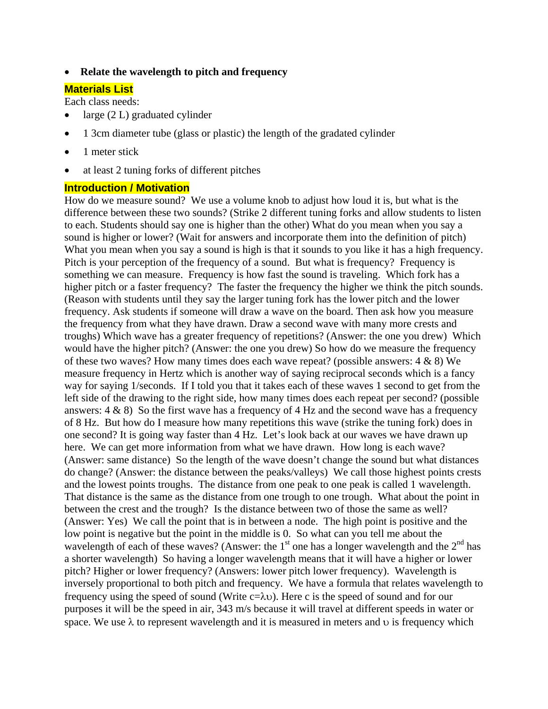• **Relate the wavelength to pitch and frequency** 

### **Materials List**

Each class needs:

- large  $(2 L)$  graduated cylinder
- 1 3cm diameter tube (glass or plastic) the length of the gradated cylinder
- 1 meter stick
- at least 2 tuning forks of different pitches

#### **Introduction / Motivation**

How do we measure sound? We use a volume knob to adjust how loud it is, but what is the difference between these two sounds? (Strike 2 different tuning forks and allow students to listen to each. Students should say one is higher than the other) What do you mean when you say a sound is higher or lower? (Wait for answers and incorporate them into the definition of pitch) What you mean when you say a sound is high is that it sounds to you like it has a high frequency. Pitch is your perception of the frequency of a sound. But what is frequency? Frequency is something we can measure. Frequency is how fast the sound is traveling. Which fork has a higher pitch or a faster frequency? The faster the frequency the higher we think the pitch sounds. (Reason with students until they say the larger tuning fork has the lower pitch and the lower frequency. Ask students if someone will draw a wave on the board. Then ask how you measure the frequency from what they have drawn. Draw a second wave with many more crests and troughs) Which wave has a greater frequency of repetitions? (Answer: the one you drew) Which would have the higher pitch? (Answer: the one you drew) So how do we measure the frequency of these two waves? How many times does each wave repeat? (possible answers: 4 & 8) We measure frequency in Hertz which is another way of saying reciprocal seconds which is a fancy way for saying 1/seconds. If I told you that it takes each of these waves 1 second to get from the left side of the drawing to the right side, how many times does each repeat per second? (possible answers:  $4 \& 8$ ) So the first wave has a frequency of  $4$  Hz and the second wave has a frequency of 8 Hz. But how do I measure how many repetitions this wave (strike the tuning fork) does in one second? It is going way faster than 4 Hz. Let's look back at our waves we have drawn up here. We can get more information from what we have drawn. How long is each wave? (Answer: same distance) So the length of the wave doesn't change the sound but what distances do change? (Answer: the distance between the peaks/valleys) We call those highest points crests and the lowest points troughs. The distance from one peak to one peak is called 1 wavelength. That distance is the same as the distance from one trough to one trough. What about the point in between the crest and the trough? Is the distance between two of those the same as well? (Answer: Yes) We call the point that is in between a node. The high point is positive and the low point is negative but the point in the middle is 0. So what can you tell me about the wavelength of each of these waves? (Answer: the  $1<sup>st</sup>$  one has a longer wavelength and the  $2<sup>nd</sup>$  has a shorter wavelength) So having a longer wavelength means that it will have a higher or lower pitch? Higher or lower frequency? (Answers: lower pitch lower frequency). Wavelength is inversely proportional to both pitch and frequency. We have a formula that relates wavelength to frequency using the speed of sound (Write  $c=\lambda v$ ). Here c is the speed of sound and for our purposes it will be the speed in air, 343 m/s because it will travel at different speeds in water or space. We use  $\lambda$  to represent wavelength and it is measured in meters and  $\nu$  is frequency which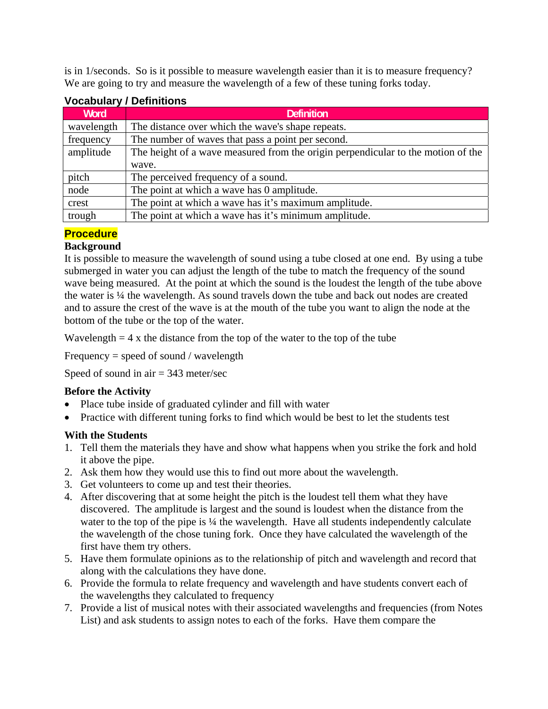is in 1/seconds. So is it possible to measure wavelength easier than it is to measure frequency? We are going to try and measure the wavelength of a few of these tuning forks today.

| Word       | <b>Definition</b>                                                                |  |  |  |  |
|------------|----------------------------------------------------------------------------------|--|--|--|--|
| wavelength | The distance over which the wave's shape repeats.                                |  |  |  |  |
| frequency  | The number of waves that pass a point per second.                                |  |  |  |  |
| amplitude  | The height of a wave measured from the origin perpendicular to the motion of the |  |  |  |  |
|            | wave.                                                                            |  |  |  |  |
| pitch      | The perceived frequency of a sound.                                              |  |  |  |  |
| node       | The point at which a wave has 0 amplitude.                                       |  |  |  |  |
| crest      | The point at which a wave has it's maximum amplitude.                            |  |  |  |  |
| trough     | The point at which a wave has it's minimum amplitude.                            |  |  |  |  |

# **Vocabulary / Definitions**

# **Procedure**

## **Background**

It is possible to measure the wavelength of sound using a tube closed at one end. By using a tube submerged in water you can adjust the length of the tube to match the frequency of the sound wave being measured. At the point at which the sound is the loudest the length of the tube above the water is ¼ the wavelength. As sound travels down the tube and back out nodes are created and to assure the crest of the wave is at the mouth of the tube you want to align the node at the bottom of the tube or the top of the water.

Wavelength  $= 4$  x the distance from the top of the water to the top of the tube

Frequency = speed of sound / wavelength

Speed of sound in air  $= 343$  meter/sec

## **Before the Activity**

- Place tube inside of graduated cylinder and fill with water
- Practice with different tuning forks to find which would be best to let the students test

## **With the Students**

- 1. Tell them the materials they have and show what happens when you strike the fork and hold it above the pipe.
- 2. Ask them how they would use this to find out more about the wavelength.
- 3. Get volunteers to come up and test their theories.
- 4. After discovering that at some height the pitch is the loudest tell them what they have discovered. The amplitude is largest and the sound is loudest when the distance from the water to the top of the pipe is  $\frac{1}{4}$  the wavelength. Have all students independently calculate the wavelength of the chose tuning fork. Once they have calculated the wavelength of the first have them try others.
- 5. Have them formulate opinions as to the relationship of pitch and wavelength and record that along with the calculations they have done.
- 6. Provide the formula to relate frequency and wavelength and have students convert each of the wavelengths they calculated to frequency
- 7. Provide a list of musical notes with their associated wavelengths and frequencies (from Notes List) and ask students to assign notes to each of the forks. Have them compare the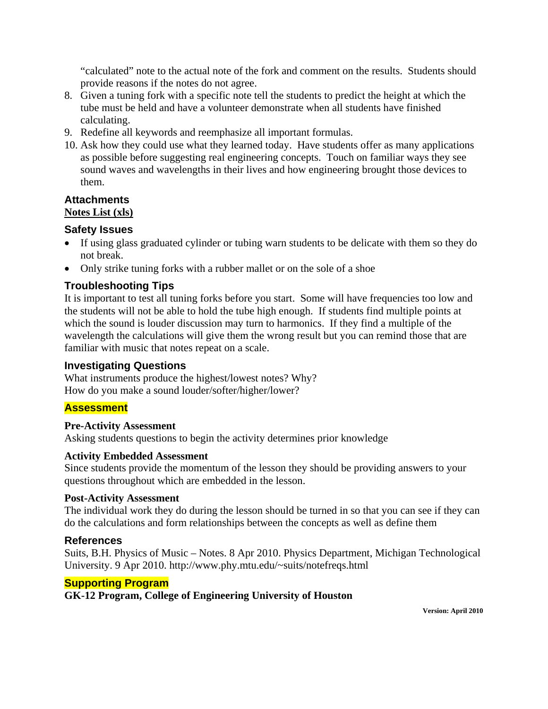"calculated" note to the actual note of the fork and comment on the results. Students should provide reasons if the notes do not agree.

- 8. Given a tuning fork with a specific note tell the students to predict the height at which the tube must be held and have a volunteer demonstrate when all students have finished calculating.
- 9. Redefine all keywords and reemphasize all important formulas.
- 10. Ask how they could use what they learned today. Have students offer as many applications as possible before suggesting real engineering concepts. Touch on familiar ways they see sound waves and wavelengths in their lives and how engineering brought those devices to them.

### **Attachments**

### **Notes List (xls)**

### **Safety Issues**

- If using glass graduated cylinder or tubing warn students to be delicate with them so they do not break.
- Only strike tuning forks with a rubber mallet or on the sole of a shoe

## **Troubleshooting Tips**

It is important to test all tuning forks before you start. Some will have frequencies too low and the students will not be able to hold the tube high enough. If students find multiple points at which the sound is louder discussion may turn to harmonics. If they find a multiple of the wavelength the calculations will give them the wrong result but you can remind those that are familiar with music that notes repeat on a scale.

### **Investigating Questions**

What instruments produce the highest/lowest notes? Why? How do you make a sound louder/softer/higher/lower?

### **Assessment**

#### **Pre-Activity Assessment**

Asking students questions to begin the activity determines prior knowledge

#### **Activity Embedded Assessment**

Since students provide the momentum of the lesson they should be providing answers to your questions throughout which are embedded in the lesson.

#### **Post-Activity Assessment**

The individual work they do during the lesson should be turned in so that you can see if they can do the calculations and form relationships between the concepts as well as define them

### **References**

Suits, B.H. Physics of Music – Notes. 8 Apr 2010. Physics Department, Michigan Technological University. 9 Apr 2010. http://www.phy.mtu.edu/~suits/notefreqs.html

### **Supporting Program**

### **GK-12 Program, College of Engineering University of Houston**

**Version: April 2010**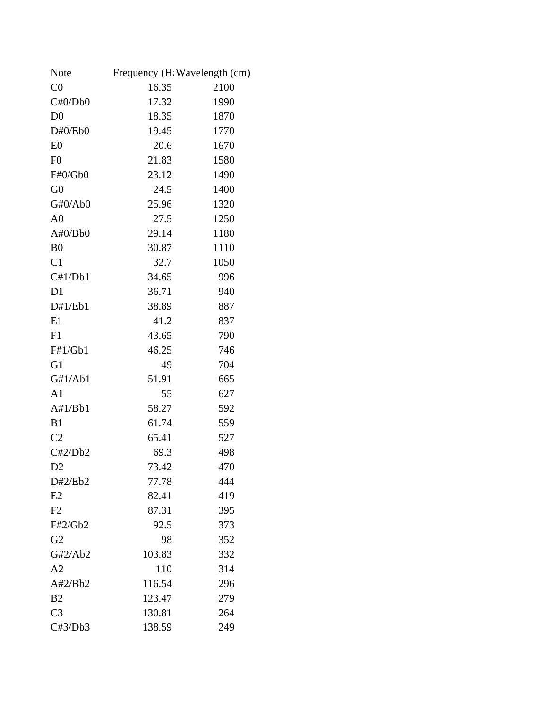| Note           | Frequency (H. Wavelength (cm) |      |  |
|----------------|-------------------------------|------|--|
| CO             | 16.35                         | 2100 |  |
| C#0/Db0        | 17.32                         | 1990 |  |
| D <sub>0</sub> | 18.35                         | 1870 |  |
| D#0/Eb0        | 19.45                         | 1770 |  |
| E <sub>0</sub> | 20.6                          | 1670 |  |
| F <sub>0</sub> | 21.83                         | 1580 |  |
| F#0/Gb0        | 23.12                         | 1490 |  |
| G <sub>0</sub> | 24.5                          | 1400 |  |
| G#0/Ab0        | 25.96                         | 1320 |  |
| A <sub>0</sub> | 27.5                          | 1250 |  |
| A#0/Bb0        | 29.14                         | 1180 |  |
| B <sub>0</sub> | 30.87                         | 1110 |  |
| C1             | 32.7                          | 1050 |  |
| C#1/Db1        | 34.65                         | 996  |  |
| D1             | 36.71                         | 940  |  |
| D#1/Eb1        | 38.89                         | 887  |  |
| E1             | 41.2                          | 837  |  |
| F1             | 43.65                         | 790  |  |
| F#1/Gb1        | 46.25                         | 746  |  |
| G <sub>1</sub> | 49                            | 704  |  |
| G#1/Ab1        | 51.91                         | 665  |  |
| A1             | 55                            | 627  |  |
| A#1/Bb1        | 58.27                         | 592  |  |
| B1             | 61.74                         | 559  |  |
| C <sub>2</sub> | 65.41                         | 527  |  |
| C#2/Db2        | 69.3                          | 498  |  |
| D <sub>2</sub> | 73.42                         | 470  |  |
| D#2/Eb2        | 77.78                         | 444  |  |
| E2             | 82.41                         | 419  |  |
| F2             | 87.31                         | 395  |  |
| F#2/Gb2        | 92.5                          | 373  |  |
| G <sub>2</sub> | 98                            | 352  |  |
| G#2/Ab2        | 103.83                        | 332  |  |
| A2             | 110                           | 314  |  |
| A#2/Bb2        | 116.54                        | 296  |  |
| B <sub>2</sub> | 123.47                        | 279  |  |
| C <sub>3</sub> | 130.81                        | 264  |  |
| C#3/Db3        | 138.59                        | 249  |  |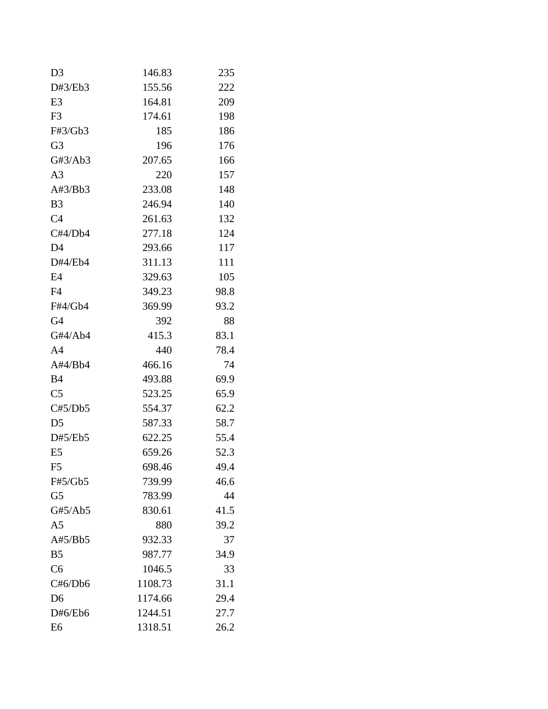| D <sub>3</sub> | 146.83  | 235  |
|----------------|---------|------|
| D#3/Eb3        | 155.56  | 222  |
| E <sub>3</sub> | 164.81  | 209  |
| F <sub>3</sub> | 174.61  | 198  |
| F#3/Gb3        | 185     | 186  |
| G <sub>3</sub> | 196     | 176  |
| G#3/Ab3        | 207.65  | 166  |
| A <sub>3</sub> | 220     | 157  |
| A#3/Bb3        | 233.08  | 148  |
| B <sub>3</sub> | 246.94  | 140  |
| C <sub>4</sub> | 261.63  | 132  |
| C#4/Db4        | 277.18  | 124  |
| D <sub>4</sub> | 293.66  | 117  |
| D#4/Eb4        | 311.13  | 111  |
| E4             | 329.63  | 105  |
| F4             | 349.23  | 98.8 |
| F#4/Gb4        | 369.99  | 93.2 |
| G <sub>4</sub> | 392     | 88   |
| G#4/Ab4        | 415.3   | 83.1 |
| A <sub>4</sub> | 440     | 78.4 |
| A#4/Bb4        | 466.16  | 74   |
| <b>B4</b>      | 493.88  | 69.9 |
| C <sub>5</sub> | 523.25  | 65.9 |
| C#5/Db5        | 554.37  | 62.2 |
| D <sub>5</sub> | 587.33  | 58.7 |
| D#5/Eb5        | 622.25  | 55.4 |
| E <sub>5</sub> | 659.26  | 52.3 |
| F <sub>5</sub> | 698.46  | 49.4 |
| F#5/Gb5        | 739.99  | 46.6 |
| G <sub>5</sub> | 783.99  | 44   |
| G#5/Ab5        | 830.61  | 41.5 |
| A <sub>5</sub> | 880     | 39.2 |
| A#5/Bb5        | 932.33  | 37   |
| B <sub>5</sub> | 987.77  | 34.9 |
| C <sub>6</sub> | 1046.5  | 33   |
| C#6/Db6        | 1108.73 | 31.1 |
| D <sub>6</sub> | 1174.66 | 29.4 |
| D#6/Eb6        | 1244.51 | 27.7 |
| E <sub>6</sub> | 1318.51 | 26.2 |